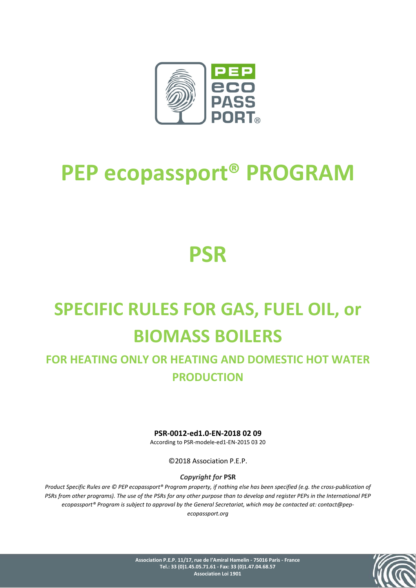

# **PEP ecopassport® PROGRAM**

# **PSR**

# **SPECIFIC RULES FOR GAS, FUEL OIL, or BIOMASS BOILERS**

# **FOR HEATING ONLY OR HEATING AND DOMESTIC HOT WATER PRODUCTION**

**PSR-0012-ed1.0-EN-2018 02 09** According to PSR-modele-ed1-EN-2015 03 20

©2018 Association P.E.P.

*Copyright for* **PSR**

*Product Specific Rules are © PEP ecopassport® Program property, if nothing else has been specified (e.g. the cross-publication of PSRs from other programs). The use of the PSRs for any other purpose than to develop and register PEPs in the International PEP ecopassport® Program is subject to approval by the General Secretariat, which may be contacted at: contact@pepecopassport.org*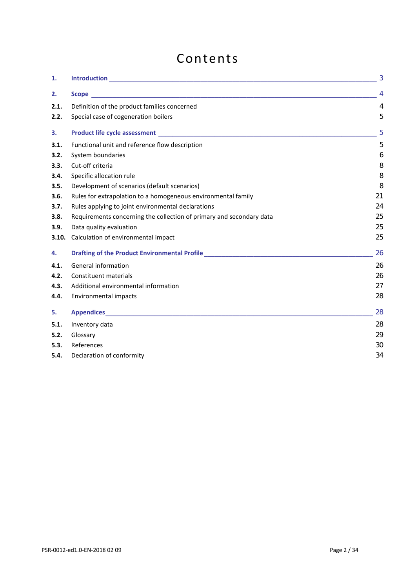# Contents

| 1.    |                                                                                                                         | 3              |  |  |
|-------|-------------------------------------------------------------------------------------------------------------------------|----------------|--|--|
| 2.    |                                                                                                                         | $\overline{4}$ |  |  |
| 2.1.  | Definition of the product families concerned                                                                            | $\overline{4}$ |  |  |
| 2.2.  | Special case of cogeneration boilers                                                                                    | 5              |  |  |
| 3.    |                                                                                                                         | 5              |  |  |
| 3.1.  | Functional unit and reference flow description                                                                          | 5              |  |  |
| 3.2.  | System boundaries                                                                                                       | 6              |  |  |
| 3.3.  | Cut-off criteria                                                                                                        | 8              |  |  |
| 3.4.  | Specific allocation rule                                                                                                | 8              |  |  |
| 3.5.  | Development of scenarios (default scenarios)                                                                            | 8              |  |  |
| 3.6.  | Rules for extrapolation to a homogeneous environmental family                                                           | 21             |  |  |
| 3.7.  | Rules applying to joint environmental declarations                                                                      |                |  |  |
| 3.8.  | Requirements concerning the collection of primary and secondary data                                                    |                |  |  |
| 3.9.  | Data quality evaluation                                                                                                 |                |  |  |
| 3.10. | Calculation of environmental impact                                                                                     | 25             |  |  |
| 4.    | Drafting of the Product Environmental Profile <b>Container and Container Profile</b> and Container and Container and Co | 26             |  |  |
| 4.1.  | General information                                                                                                     | 26             |  |  |
| 4.2.  | Constituent materials                                                                                                   | 26             |  |  |
| 4.3.  | Additional environmental information                                                                                    | 27             |  |  |
| 4.4.  | Environmental impacts                                                                                                   | 28             |  |  |
| 5.    |                                                                                                                         | 28             |  |  |
| 5.1.  | Inventory data                                                                                                          | 28             |  |  |
| 5.2.  | Glossary                                                                                                                | 29             |  |  |
| 5.3.  | References                                                                                                              | 30             |  |  |
| 5.4.  | 34<br>Declaration of conformity                                                                                         |                |  |  |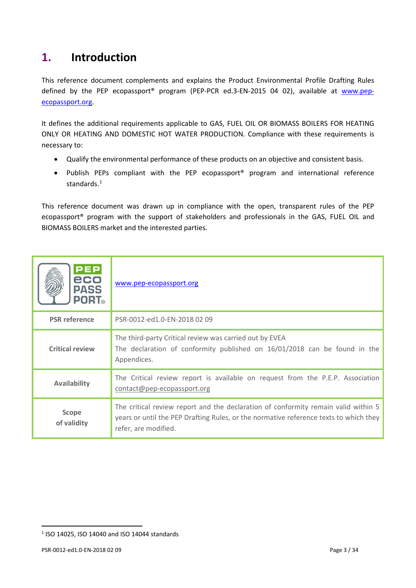# <span id="page-2-0"></span>**1. Introduction**

This reference document complements and explains the Product Environmental Profile Drafting Rules defined by the PEP ecopassport<sup>®</sup> program (PEP-PCR ed.3-EN-2015 04 02), available at [www.pep](http://www.pep-ecopassport.org/)[ecopassport.org.](http://www.pep-ecopassport.org/)

It defines the additional requirements applicable to GAS, FUEL OIL OR BIOMASS BOILERS FOR HEATING ONLY OR HEATING AND DOMESTIC HOT WATER PRODUCTION. Compliance with these requirements is necessary to:

- Qualify the environmental performance of these products on an objective and consistent basis.
- Publish PEPs compliant with the PEP ecopassport® program and international reference standards.<sup>1</sup>

This reference document was drawn up in compliance with the open, transparent rules of the PEP ecopassport® program with the support of stakeholders and professionals in the GAS, FUEL OIL and BIOMASS BOILERS market and the interested parties.

| <b>PEP</b><br>eco<br><b>PASS</b><br><b>PORT</b> ® | www.pep-ecopassport.org                                                                                                                                                                             |
|---------------------------------------------------|-----------------------------------------------------------------------------------------------------------------------------------------------------------------------------------------------------|
| <b>PSR</b> reference                              | PSR-0012-ed1.0-EN-2018 02 09                                                                                                                                                                        |
| <b>Critical review</b>                            | The third-party Critical review was carried out by EVEA<br>The declaration of conformity published on 16/01/2018 can be found in the<br>Appendices.                                                 |
| <b>Availability</b>                               | The Critical review report is available on request from the P.E.P. Association<br>contact@pep-ecopassport.org                                                                                       |
| <b>Scope</b><br>of validity                       | The critical review report and the declaration of conformity remain valid within 5<br>years or until the PEP Drafting Rules, or the normative reference texts to which they<br>refer, are modified. |

<span id="page-2-1"></span><sup>1</sup> ISO 14025, ISO 14040 and ISO 14044 standards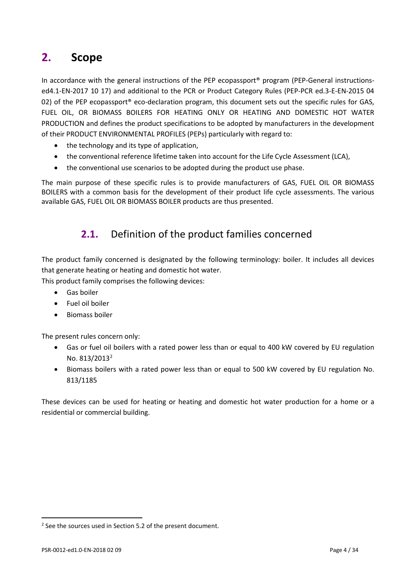# <span id="page-3-0"></span>**2. Scope**

In accordance with the general instructions of the PEP ecopassport<sup>®</sup> program (PEP-General instructionsed4.1-EN-2017 10 17) and additional to the PCR or Product Category Rules (PEP-PCR ed.3-E-EN-2015 04 02) of the PEP ecopassport<sup>®</sup> eco-declaration program, this document sets out the specific rules for GAS, FUEL OIL, OR BIOMASS BOILERS FOR HEATING ONLY OR HEATING AND DOMESTIC HOT WATER PRODUCTION and defines the product specifications to be adopted by manufacturers in the development of their PRODUCT ENVIRONMENTAL PROFILES (PEPs) particularly with regard to:

- the technology and its type of application,
- the conventional reference lifetime taken into account for the Life Cycle Assessment (LCA),
- the conventional use scenarios to be adopted during the product use phase.

<span id="page-3-1"></span>The main purpose of these specific rules is to provide manufacturers of GAS, FUEL OIL OR BIOMASS BOILERS with a common basis for the development of their product life cycle assessments. The various available GAS, FUEL OIL OR BIOMASS BOILER products are thus presented.

# **2.1.** Definition of the product families concerned

The product family concerned is designated by the following terminology: boiler. It includes all devices that generate heating or heating and domestic hot water.

This product family comprises the following devices:

- Gas boiler
- Fuel oil boiler
- Biomass boiler

The present rules concern only:

- Gas or fuel oil boilers with a rated power less than or equal to 400 kW covered by EU regulation No. 813/2013<sup>2</sup>
- Biomass boilers with a rated power less than or equal to 500 kW covered by EU regulation No. 813/1185

These devices can be used for heating or heating and domestic hot water production for a home or a residential or commercial building.

<span id="page-3-2"></span><sup>&</sup>lt;sup>2</sup> See the sources used in Section 5.2 of the present document.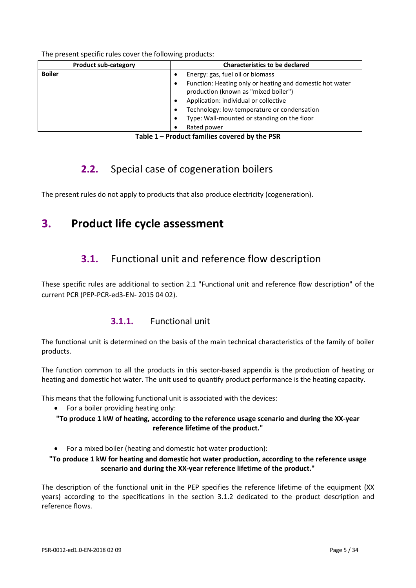The present specific rules cover the following products:

| <b>Product sub-category</b> | <b>Characteristics to be declared</b>                                                                                                                                                                                                                                                                                                    |
|-----------------------------|------------------------------------------------------------------------------------------------------------------------------------------------------------------------------------------------------------------------------------------------------------------------------------------------------------------------------------------|
| <b>Boiler</b>               | Energy: gas, fuel oil or biomass<br>٠<br>Function: Heating only or heating and domestic hot water<br>$\bullet$<br>production (known as "mixed boiler")<br>Application: individual or collective<br>$\bullet$<br>Technology: low-temperature or condensation<br>٠<br>Type: Wall-mounted or standing on the floor<br>٠<br>Rated power<br>٠ |

**Table 1 – Product families covered by the PSR**

# **2.2.** Special case of cogeneration boilers

<span id="page-4-0"></span>The present rules do not apply to products that also produce electricity (cogeneration).

# <span id="page-4-2"></span><span id="page-4-1"></span>**3. Product life cycle assessment**

# **3.1.** Functional unit and reference flow description

These specific rules are additional to section 2.1 "Functional unit and reference flow description" of the current PCR (PEP-PCR-ed3-EN- 2015 04 02).

### **3.1.1.** Functional unit

The functional unit is determined on the basis of the main technical characteristics of the family of boiler products.

The function common to all the products in this sector-based appendix is the production of heating or heating and domestic hot water. The unit used to quantify product performance is the heating capacity.

This means that the following functional unit is associated with the devices:

• For a boiler providing heating only:

**"To produce 1 kW of heating, according to the reference usage scenario and during the XX-year reference lifetime of the product."**

• For a mixed boiler (heating and domestic hot water production):

#### **"To produce 1 kW for heating and domestic hot water production, according to the reference usage scenario and during the XX-year reference lifetime of the product."**

The description of the functional unit in the PEP specifies the reference lifetime of the equipment (XX years) according to the specifications in the section [3.1.2](#page-5-1) dedicated to the product description and reference flows.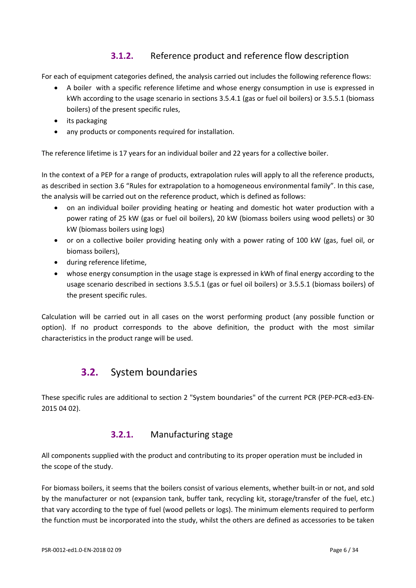## **3.1.2.** Reference product and reference flow description

<span id="page-5-1"></span>For each of equipment categories defined, the analysis carried out includes the following reference flows:

- A boiler with a specific reference lifetime and whose energy consumption in use is expressed in kWh according to the usage scenario in sections 3.5.4.1 (gas or fuel oil boilers) or [3.5.5.1](#page-12-0) (biomass boilers) of the present specific rules,
- its packaging
- any products or components required for installation.

The reference lifetime is 17 years for an individual boiler and 22 years for a collective boiler.

In the context of a PEP for a range of products, extrapolation rules will apply to all the reference products, as described in section 3.6 "Rules for extrapolation to a homogeneous environmental family". In this case, the analysis will be carried out on the reference product, which is defined as follows:

- on an individual boiler providing heating or heating and domestic hot water production with a power rating of 25 kW (gas or fuel oil boilers), 20 kW (biomass boilers using wood pellets) or 30 kW (biomass boilers using logs)
- or on a collective boiler providing heating only with a power rating of 100 kW (gas, fuel oil, or biomass boilers),
- during reference lifetime,
- whose energy consumption in the usage stage is expressed in kWh of final energy according to the usage scenario described in sections 3.5.5.1 (gas or fuel oil boilers) or [3.5.5.1](#page-12-0) (biomass boilers) of the present specific rules.

<span id="page-5-0"></span>Calculation will be carried out in all cases on the worst performing product (any possible function or option). If no product corresponds to the above definition, the product with the most similar characteristics in the product range will be used.

# **3.2.** System boundaries

These specific rules are additional to section 2 "System boundaries" of the current PCR (PEP-PCR-ed3-EN-2015 04 02).

### **3.2.1.** Manufacturing stage

All components supplied with the product and contributing to its proper operation must be included in the scope of the study.

For biomass boilers, it seems that the boilers consist of various elements, whether built-in or not, and sold by the manufacturer or not (expansion tank, buffer tank, recycling kit, storage/transfer of the fuel, etc.) that vary according to the type of fuel (wood pellets or logs). The minimum elements required to perform the function must be incorporated into the study, whilst the others are defined as accessories to be taken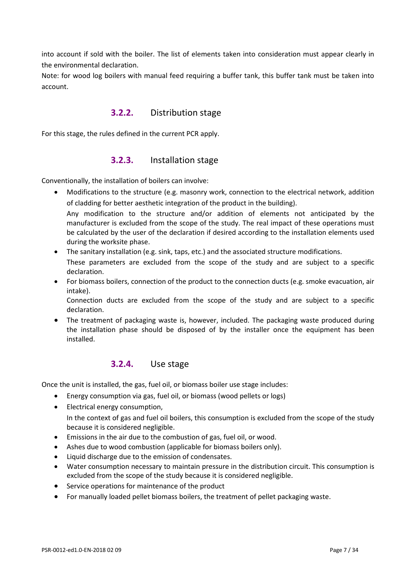into account if sold with the boiler. The list of elements taken into consideration must appear clearly in the environmental declaration.

Note: for wood log boilers with manual feed requiring a buffer tank, this buffer tank must be taken into account.

### **3.2.2.** Distribution stage

For this stage, the rules defined in the current PCR apply.

### **3.2.3.** Installation stage

Conventionally, the installation of boilers can involve:

• Modifications to the structure (e.g. masonry work, connection to the electrical network, addition of cladding for better aesthetic integration of the product in the building).

Any modification to the structure and/or addition of elements not anticipated by the manufacturer is excluded from the scope of the study. The real impact of these operations must be calculated by the user of the declaration if desired according to the installation elements used during the worksite phase.

- The sanitary installation (e.g. sink, taps, etc.) and the associated structure modifications. These parameters are excluded from the scope of the study and are subject to a specific declaration.
- For biomass boilers, connection of the product to the connection ducts (e.g. smoke evacuation, air intake).

Connection ducts are excluded from the scope of the study and are subject to a specific declaration.

The treatment of packaging waste is, however, included. The packaging waste produced during the installation phase should be disposed of by the installer once the equipment has been installed.

#### **3.2.4.** Use stage

Once the unit is installed, the gas, fuel oil, or biomass boiler use stage includes:

- Energy consumption via gas, fuel oil, or biomass (wood pellets or logs)
- Electrical energy consumption, In the context of gas and fuel oil boilers, this consumption is excluded from the scope of the study because it is considered negligible.
- Emissions in the air due to the combustion of gas, fuel oil, or wood.
- Ashes due to wood combustion (applicable for biomass boilers only).
- Liquid discharge due to the emission of condensates.
- Water consumption necessary to maintain pressure in the distribution circuit. This consumption is excluded from the scope of the study because it is considered negligible.
- Service operations for maintenance of the product
- For manually loaded pellet biomass boilers, the treatment of pellet packaging waste.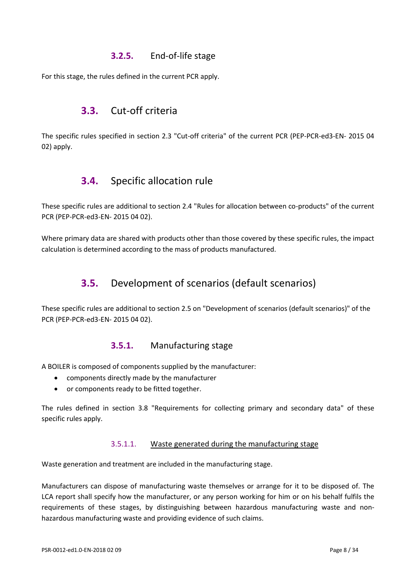### **3.2.5.** End-of-life stage

<span id="page-7-0"></span>For this stage, the rules defined in the current PCR apply.

# **3.3.** Cut-off criteria

<span id="page-7-1"></span>The specific rules specified in section 2.3 "Cut-off criteria" of the current PCR (PEP-PCR-ed3-EN- 2015 04 02) apply.

# **3.4.** Specific allocation rule

These specific rules are additional to section 2.4 "Rules for allocation between co-products" of the current PCR (PEP-PCR-ed3-EN- 2015 04 02).

<span id="page-7-2"></span>Where primary data are shared with products other than those covered by these specific rules, the impact calculation is determined according to the mass of products manufactured.

# **3.5.** Development of scenarios (default scenarios)

These specific rules are additional to section 2.5 on "Development of scenarios (default scenarios)" of the PCR (PEP-PCR-ed3-EN- 2015 04 02).

### **3.5.1.** Manufacturing stage

A BOILER is composed of components supplied by the manufacturer:

- components directly made by the manufacturer
- or components ready to be fitted together.

The rules defined in section 3.8 "Requirements for collecting primary and secondary data" of these specific rules apply.

#### 3.5.1.1. Waste generated during the manufacturing stage

Waste generation and treatment are included in the manufacturing stage.

Manufacturers can dispose of manufacturing waste themselves or arrange for it to be disposed of. The LCA report shall specify how the manufacturer, or any person working for him or on his behalf fulfils the requirements of these stages, by distinguishing between hazardous manufacturing waste and nonhazardous manufacturing waste and providing evidence of such claims.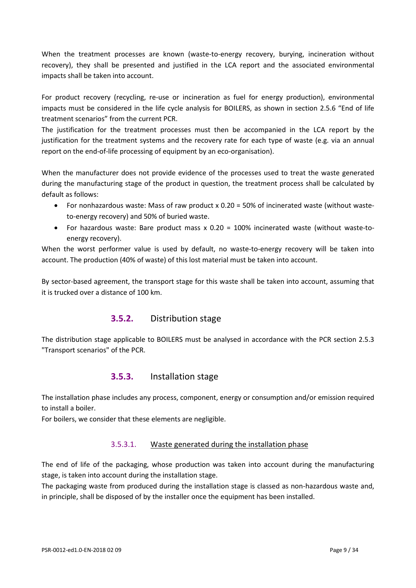When the treatment processes are known (waste-to-energy recovery, burying, incineration without recovery), they shall be presented and justified in the LCA report and the associated environmental impacts shall be taken into account.

For product recovery (recycling, re-use or incineration as fuel for energy production), environmental impacts must be considered in the life cycle analysis for BOILERS, as shown in section 2.5.6 "End of life treatment scenarios" from the current PCR.

The justification for the treatment processes must then be accompanied in the LCA report by the justification for the treatment systems and the recovery rate for each type of waste (e.g. via an annual report on the end-of-life processing of equipment by an eco-organisation).

When the manufacturer does not provide evidence of the processes used to treat the waste generated during the manufacturing stage of the product in question, the treatment process shall be calculated by default as follows:

- For nonhazardous waste: Mass of raw product x 0.20 = 50% of incinerated waste (without wasteto-energy recovery) and 50% of buried waste.
- For hazardous waste: Bare product mass x 0.20 = 100% incinerated waste (without waste-toenergy recovery).

When the worst performer value is used by default, no waste-to-energy recovery will be taken into account. The production (40% of waste) of this lost material must be taken into account.

By sector-based agreement, the transport stage for this waste shall be taken into account, assuming that it is trucked over a distance of 100 km.

### **3.5.2.** Distribution stage

The distribution stage applicable to BOILERS must be analysed in accordance with the PCR section 2.5.3 "Transport scenarios" of the PCR.

### **3.5.3.** Installation stage

The installation phase includes any process, component, energy or consumption and/or emission required to install a boiler.

For boilers, we consider that these elements are negligible.

#### 3.5.3.1. Waste generated during the installation phase

The end of life of the packaging, whose production was taken into account during the manufacturing stage, is taken into account during the installation stage.

The packaging waste from produced during the installation stage is classed as non-hazardous waste and, in principle, shall be disposed of by the installer once the equipment has been installed.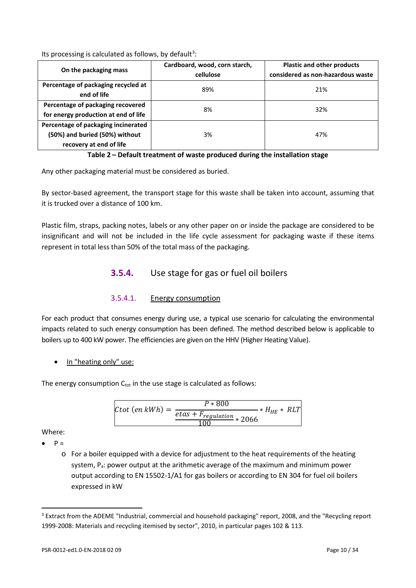Its processing is calculated as follows, by default<sup>[3](#page-9-0)</sup>:

|                                                                                                  | Cardboard, wood, corn starch, | <b>Plastic and other products</b> |
|--------------------------------------------------------------------------------------------------|-------------------------------|-----------------------------------|
| On the packaging mass                                                                            | cellulose                     | considered as non-hazardous waste |
| Percentage of packaging recycled at<br>end of life                                               | 89%                           | 21%                               |
| Percentage of packaging recovered<br>for energy production at end of life                        | 8%                            | 32%                               |
| Percentage of packaging incinerated<br>(50%) and buried (50%) without<br>recovery at end of life | 3%                            | 47%                               |

**Table 2 – Default treatment of waste produced during the installation stage**

Any other packaging material must be considered as buried.

By sector-based agreement, the transport stage for this waste shall be taken into account, assuming that it is trucked over a distance of 100 km.

Plastic film, straps, packing notes, labels or any other paper on or inside the package are considered to be insignificant and will not be included in the life cycle assessment for packaging waste if these items represent in total less than 50% of the total mass of the packaging.

### **3.5.4.** Use stage for gas or fuel oil boilers

3.5.4.1. Energy consumption

For each product that consumes energy during use, a typical use scenario for calculating the environmental impacts related to such energy consumption has been defined. The method described below is applicable to boilers up to 400 kW power. The efficiencies are given on the HHV (Higher Heating Value).

In "heating only" use:

The energy consumption  $C_{\text{tot}}$  in the use stage is calculated as follows:

$$
Ctot\ (en\ kWh) = \frac{P * 800}{\frac{etas + F_{regulation}}{100} * 2066} * H_{HE} * RLT
$$

Where:

 $P =$ 

l

o For a boiler equipped with a device for adjustment to the heat requirements of the heating system,  $P_a$ : power output at the arithmetic average of the maximum and minimum power output according to EN 15502-1/A1 for gas boilers or according to EN 304 for fuel oil boilers expressed in kW

<span id="page-9-0"></span><sup>&</sup>lt;sup>3</sup> Extract from the ADEME "Industrial, commercial and household packaging" report, 2008, and the "Recycling report 1999-2008: Materials and recycling itemised by sector", 2010, in particular pages 102 & 113.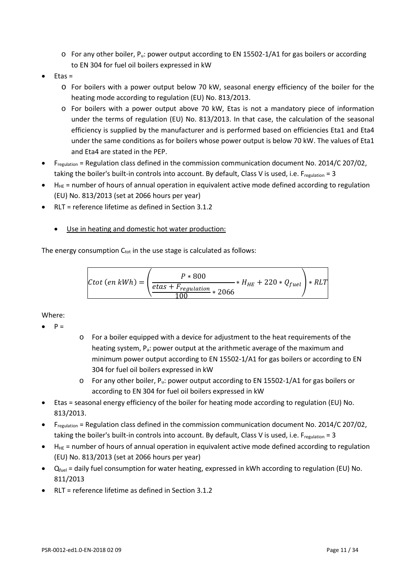- o For any other boiler, Pu: power output according to EN 15502-1/A1 for gas boilers or according to EN 304 for fuel oil boilers expressed in kW
- Etas =
	- o For boilers with a power output below 70 kW, seasonal energy efficiency of the boiler for the heating mode according to regulation (EU) No. 813/2013.
	- o For boilers with a power output above 70 kW, Etas is not a mandatory piece of information under the terms of regulation (EU) No. 813/2013. In that case, the calculation of the seasonal efficiency is supplied by the manufacturer and is performed based on efficiencies Eta1 and Eta4 under the same conditions as for boilers whose power output is below 70 kW. The values of Eta1 and Eta4 are stated in the PEP.
- Fregulation = Regulation class defined in the commission communication document No. 2014/C 207/02, taking the boiler's built-in controls into account. By default, Class V is used, i.e. Fregulation = 3
- $H<sub>HE</sub>$  = number of hours of annual operation in equivalent active mode defined according to regulation (EU) No. 813/2013 (set at 2066 hours per year)
- RLT = reference lifetime as defined in Section 3.1.2
	- Use in heating and domestic hot water production:

The energy consumption  $C_{tot}$  in the use stage is calculated as follows:

$$
Ctot\ (en\ kWh) = \left(\frac{P * 800}{\frac{etas + F_{regulation}}{100} * 2066} * H_{HE} + 220 * Q_{fuel}\right) * RLT
$$

Where:

- $\bullet$   $P =$
- o For a boiler equipped with a device for adjustment to the heat requirements of the heating system, P<sub>a</sub>: power output at the arithmetic average of the maximum and minimum power output according to EN 15502-1/A1 for gas boilers or according to EN 304 for fuel oil boilers expressed in kW
- $\circ$  For any other boiler, P<sub>u</sub>: power output according to EN 15502-1/A1 for gas boilers or according to EN 304 for fuel oil boilers expressed in kW
- Etas = seasonal energy efficiency of the boiler for heating mode according to regulation (EU) No. 813/2013.
- Fregulation = Regulation class defined in the commission communication document No. 2014/C 207/02, taking the boiler's built-in controls into account. By default, Class V is used, i.e.  $F_{\text{regular} = 3}$
- $H_{HE}$  = number of hours of annual operation in equivalent active mode defined according to regulation (EU) No. 813/2013 (set at 2066 hours per year)
- $Q_{fuel}$  = daily fuel consumption for water heating, expressed in kWh according to regulation (EU) No. 811/2013
- RLT = reference lifetime as defined in Section 3.1.2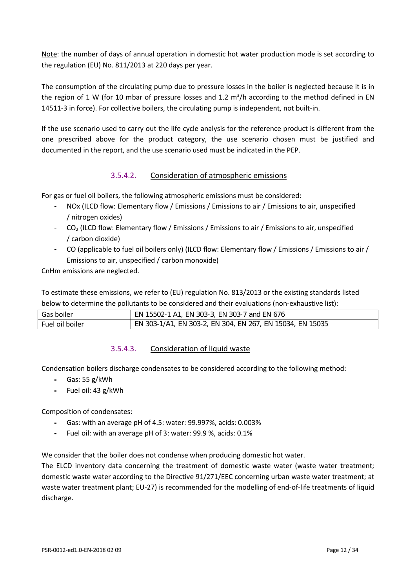Note: the number of days of annual operation in domestic hot water production mode is set according to the regulation (EU) No. 811/2013 at 220 days per year.

The consumption of the circulating pump due to pressure losses in the boiler is neglected because it is in the region of 1 W (for 10 mbar of pressure losses and 1.2  $m^3/h$  according to the method defined in EN 14511-3 in force). For collective boilers, the circulating pump is independent, not built-in.

If the use scenario used to carry out the life cycle analysis for the reference product is different from the one prescribed above for the product category, the use scenario chosen must be justified and documented in the report, and the use scenario used must be indicated in the PEP.

#### 3.5.4.2. Consideration of atmospheric emissions

For gas or fuel oil boilers, the following atmospheric emissions must be considered:

- NOx (ILCD flow: Elementary flow / Emissions / Emissions to air / Emissions to air, unspecified / nitrogen oxides)
- $CO<sub>2</sub>$  (ILCD flow: Elementary flow / Emissions / Emissions to air / Emissions to air, unspecified / carbon dioxide)
- CO (applicable to fuel oil boilers only) (ILCD flow: Elementary flow / Emissions / Emissions to air / Emissions to air, unspecified / carbon monoxide)

CnHm emissions are neglected.

To estimate these emissions, we refer to (EU) regulation No. 813/2013 or the existing standards listed below to determine the pollutants to be considered and their evaluations (non-exhaustive list):

| Gas boiler      | EN 15502-1 A1, EN 303-3, EN 303-7 and EN 676              |
|-----------------|-----------------------------------------------------------|
| Fuel oil boiler | EN 303-1/A1, EN 303-2, EN 304, EN 267, EN 15034, EN 15035 |

#### 3.5.4.3. Consideration of liquid waste

Condensation boilers discharge condensates to be considered according to the following method:

- **-** Gas: 55 g/kWh
- **-** Fuel oil: 43 g/kWh

Composition of condensates:

- **-** Gas: with an average pH of 4.5: water: 99.997%, acids: 0.003%
- **-** Fuel oil: with an average pH of 3: water: 99.9 %, acids: 0.1%

We consider that the boiler does not condense when producing domestic hot water.

The ELCD inventory data concerning the treatment of domestic waste water (waste water treatment; domestic waste water according to the Directive 91/271/EEC concerning urban waste water treatment; at waste water treatment plant; EU-27) is recommended for the modelling of end-of-life treatments of liquid discharge.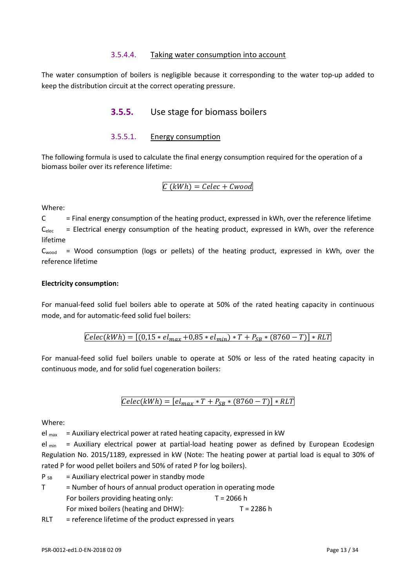#### 3.5.4.4. Taking water consumption into account

The water consumption of boilers is negligible because it corresponding to the water top-up added to keep the distribution circuit at the correct operating pressure.

### **3.5.5.** Use stage for biomass boilers

#### 3.5.5.1. Energy consumption

<span id="page-12-0"></span>The following formula is used to calculate the final energy consumption required for the operation of a biomass boiler over its reference lifetime:

#### $C(kWh) = Celec + Cwood$

Where:

 $C =$  Final energy consumption of the heating product, expressed in kWh, over the reference lifetime  $C_{elec}$  = Electrical energy consumption of the heating product, expressed in kWh, over the reference lifetime

 $C_{wood}$  = Wood consumption (logs or pellets) of the heating product, expressed in kWh, over the reference lifetime

#### **Electricity consumption:**

For manual-feed solid fuel boilers able to operate at 50% of the rated heating capacity in continuous mode, and for automatic-feed solid fuel boilers:

 $Celec(kWh) = [(0.15 * el_{max} + 0.85 * el_{min}) * T + P_{SR} * (8760 - T)] * RLT$ 

For manual-feed solid fuel boilers unable to operate at 50% or less of the rated heating capacity in continuous mode, and for solid fuel cogeneration boilers:

$$
Celec(kWh) = [el_{max} * T + P_{SB} * (8760 - T)] * RLT
$$

#### Where:

 $el_{max}$  = Auxiliary electrical power at rated heating capacity, expressed in kW

 $el_{min}$  = Auxiliary electrical power at partial-load heating power as defined by European Ecodesign Regulation No. 2015/1189, expressed in kW (Note: The heating power at partial load is equal to 30% of rated P for wood pellet boilers and 50% of rated P for log boilers).

 $P_{SB}$  = Auxiliary electrical power in standby mode

 $T =$  Number of hours of annual product operation in operating mode For boilers providing heating only:  $T = 2066$  h For mixed boilers (heating and DHW): T = 2286 h

 $RLT$  = reference lifetime of the product expressed in years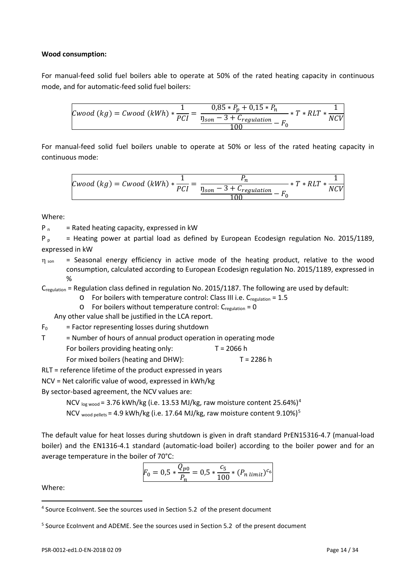#### **Wood consumption:**

For manual-feed solid fuel boilers able to operate at 50% of the rated heating capacity in continuous mode, and for automatic-feed solid fuel boilers:

$$
Cwood (kg) = Cwood (kWh) * \frac{1}{PCI} = \frac{0.85 * P_p + 0.15 * P_n}{\frac{\eta_{son} - 3 + C_{regulation}}{100} - F_0} * T * RLT * \frac{1}{NCV}
$$

For manual-feed solid fuel boilers unable to operate at 50% or less of the rated heating capacity in continuous mode:

$$
Cwood (kg) = Cwood (kWh) * \frac{1}{PCI} = \frac{P_n}{\frac{\eta_{son} - 3 + C_{regulation}}{100} - F_0} * T * RLT * \frac{1}{NCV}
$$

Where:

 $P_n$  = Rated heating capacity, expressed in kW

P<sub>p</sub> = Heating power at partial load as defined by European Ecodesign regulation No. 2015/1189, expressed in kW

 $\eta_{\text{son}}$  = Seasonal energy efficiency in active mode of the heating product, relative to the wood consumption, calculated according to European Ecodesign regulation No. 2015/1189, expressed in %

 $C_{\text{reculation}}$  = Regulation class defined in regulation No. 2015/1187. The following are used by default:

 $\circ$  For boilers with temperature control: Class III i.e. C<sub>regulation</sub> = 1.5

 $\circ$  For boilers without temperature control:  $C_{\text{regulation}} = 0$ 

Any other value shall be justified in the LCA report.

 $F_0$  = Factor representing losses during shutdown

| = Number of hours of annual product operation in operating mode |            |
|-----------------------------------------------------------------|------------|
| For boilers providing heating only:                             | T = 2066 h |
| For mixed boilers (heating and DHW):                            | T = 2286 h |

RLT = reference lifetime of the product expressed in years

NCV = Net calorific value of wood, expressed in kWh/kg

By sector-based agreement, the NCV values are:

NCV 
$$
log wood = 3.76 kWh/kg
$$
 (i.e. 13.53 MJ/kg, raw moisture content 25.64%)<sup>4</sup>

NCV wood pellets = 4.9 kWh/kg (i.e. 17.64 MJ/kg, raw moisture content  $9.10\%$ )<sup>[5](#page-13-1)</sup>

The default value for heat losses during shutdown is given in draft standard PrEN15316-4.7 (manual-load boiler) and the EN1316-4.1 standard (automatic-load boiler) according to the boiler power and for an average temperature in the boiler of 70°C:

$$
F_0 = 0.5 * \frac{Q_{p0}}{P_n} = 0.5 * \frac{c_5}{100} * (P_{n\ limit})^{c_6}
$$

Where:

<span id="page-13-0"></span><sup>4</sup> Source EcoInvent. See the sources used in Section 5.2 of the present document

<span id="page-13-1"></span> $5$  Source EcoInvent and ADEME. See the sources used in Section 5.2 of the present document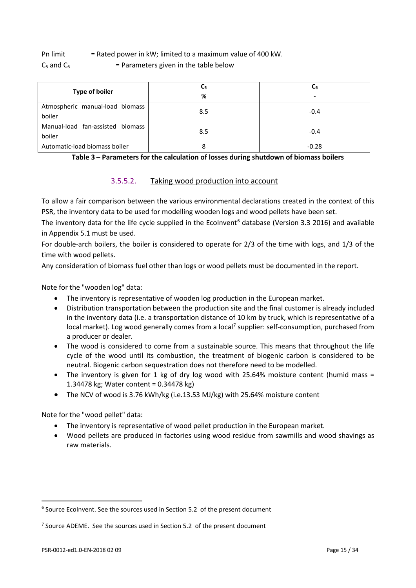Pn limit  $=$  Rated power in kW; limited to a maximum value of 400 kW.

 $C_5$  and  $C_6$  = Parameters given in the table below

|                                  | $C_{5}$ | C6      |  |
|----------------------------------|---------|---------|--|
| <b>Type of boiler</b>            | %       | -       |  |
| Atmospheric manual-load biomass  | 8.5     | $-0.4$  |  |
| boiler                           |         |         |  |
| Manual-load fan-assisted biomass | 8.5     | $-0.4$  |  |
| boiler                           |         |         |  |
| Automatic-load biomass boiler    |         | $-0.28$ |  |

**Table 3 – Parameters for the calculation of losses during shutdown of biomass boilers**

#### 3.5.5.2. Taking wood production into account

To allow a fair comparison between the various environmental declarations created in the context of this PSR, the inventory data to be used for modelling wooden logs and wood pellets have been set.

The inventory data for the life cycle supplied in the EcoInvent<sup>[6](#page-14-0)</sup> database (Version 3.3 2016) and available in Appendix 5.1 must be used.

For double-arch boilers, the boiler is considered to operate for 2/3 of the time with logs, and 1/3 of the time with wood pellets.

Any consideration of biomass fuel other than logs or wood pellets must be documented in the report.

Note for the "wooden log" data:

- The inventory is representative of wooden log production in the European market.
- Distribution transportation between the production site and the final customer is already included in the inventory data (i.e. a transportation distance of 10 km by truck, which is representative of a local market). Log wood generally comes from a local<sup>[7](#page-14-1)</sup> supplier: self-consumption, purchased from a producer or dealer.
- The wood is considered to come from a sustainable source. This means that throughout the life cycle of the wood until its combustion, the treatment of biogenic carbon is considered to be neutral. Biogenic carbon sequestration does not therefore need to be modelled.
- The inventory is given for 1 kg of dry log wood with 25.64% moisture content (humid mass = 1.34478 kg; Water content = 0.34478 kg)
- The NCV of wood is 3.76 kWh/kg (i.e.13.53 MJ/kg) with 25.64% moisture content

Note for the "wood pellet" data:

- The inventory is representative of wood pellet production in the European market.
- Wood pellets are produced in factories using wood residue from sawmills and wood shavings as raw materials.

<span id="page-14-0"></span> $6$  Source Ecolnvent. See the sources used in Section 5.2 of the present document

<span id="page-14-1"></span><sup>&</sup>lt;sup>7</sup> Source ADEME. See the sources used in Section 5.2 of the present document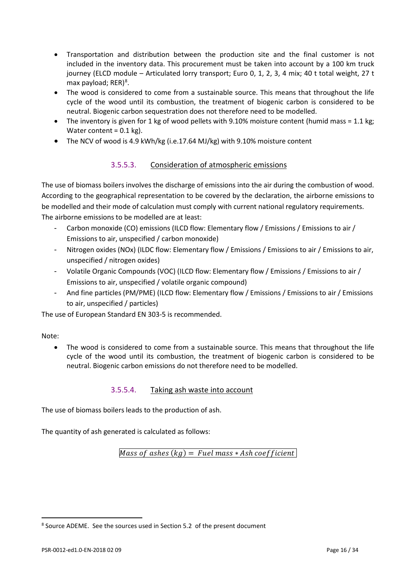- Transportation and distribution between the production site and the final customer is not included in the inventory data. This procurement must be taken into account by a 100 km truck journey (ELCD module – Articulated lorry transport; Euro 0, 1, 2, 3, 4 mix; 40 t total weight, 27 t max payload; RER)<sup>[8](#page-15-0)</sup>.
- The wood is considered to come from a sustainable source. This means that throughout the life cycle of the wood until its combustion, the treatment of biogenic carbon is considered to be neutral. Biogenic carbon sequestration does not therefore need to be modelled.
- The inventory is given for 1 kg of wood pellets with 9.10% moisture content (humid mass = 1.1 kg; Water content =  $0.1$  kg).
- The NCV of wood is 4.9 kWh/kg (i.e.17.64 MJ/kg) with 9.10% moisture content

#### 3.5.5.3. Consideration of atmospheric emissions

The use of biomass boilers involves the discharge of emissions into the air during the combustion of wood. According to the geographical representation to be covered by the declaration, the airborne emissions to be modelled and their mode of calculation must comply with current national regulatory requirements. The airborne emissions to be modelled are at least:

- Carbon monoxide (CO) emissions (ILCD flow: Elementary flow / Emissions / Emissions to air / Emissions to air, unspecified / carbon monoxide)
- Nitrogen oxides (NOx) (ILDC flow: Elementary flow / Emissions / Emissions to air / Emissions to air, unspecified / nitrogen oxides)
- Volatile Organic Compounds (VOC) (ILCD flow: Elementary flow / Emissions / Emissions to air / Emissions to air, unspecified / volatile organic compound)
- And fine particles (PM/PME) (ILCD flow: Elementary flow / Emissions / Emissions to air / Emissions to air, unspecified / particles)

The use of European Standard EN 303-5 is recommended.

#### Note:

 $\overline{a}$ 

The wood is considered to come from a sustainable source. This means that throughout the life cycle of the wood until its combustion, the treatment of biogenic carbon is considered to be neutral. Biogenic carbon emissions do not therefore need to be modelled.

#### 3.5.5.4. Taking ash waste into account

The use of biomass boilers leads to the production of ash.

The quantity of ash generated is calculated as follows:

Mass of ashes  $(kg)$  = Fuel mass  $*$  Ash coefficient

<span id="page-15-0"></span><sup>8</sup> Source ADEME. See the sources used in Section 5.2 of the present document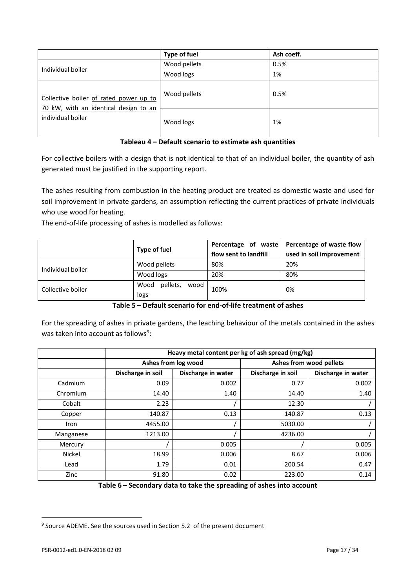|                                                                                 | <b>Type of fuel</b> | Ash coeff. |
|---------------------------------------------------------------------------------|---------------------|------------|
| Individual boiler                                                               | Wood pellets        | 0.5%       |
|                                                                                 | Wood logs           | 1%         |
| Collective boiler of rated power up to<br>70 kW, with an identical design to an | Wood pellets        | 0.5%       |
| individual boiler                                                               | Wood logs           | 1%         |

#### **Tableau 4 – Default scenario to estimate ash quantities**

For collective boilers with a design that is not identical to that of an individual boiler, the quantity of ash generated must be justified in the supporting report.

The ashes resulting from combustion in the heating product are treated as domestic waste and used for soil improvement in private gardens, an assumption reflecting the current practices of private individuals who use wood for heating.

The end-of-life processing of ashes is modelled as follows:

|                   | Type of fuel             | Percentage of waste<br>flow sent to landfill | Percentage of waste flow |
|-------------------|--------------------------|----------------------------------------------|--------------------------|
|                   |                          |                                              | used in soil improvement |
| Individual boiler | Wood pellets             | 80%                                          | 20%                      |
|                   | Wood logs                | 20%                                          | 80%                      |
| Collective boiler | pellets,<br>Wood<br>wood | 100%                                         | 0%                       |
|                   | logs                     |                                              |                          |

**Table 5 – Default scenario for end-of-life treatment of ashes**

For the spreading of ashes in private gardens, the leaching behaviour of the metals contained in the ashes was taken into account as follows<sup>[9](#page-16-0)</sup>:

|             | Heavy metal content per kg of ash spread (mg/kg) |                    |                         |                    |
|-------------|--------------------------------------------------|--------------------|-------------------------|--------------------|
|             | Ashes from log wood                              |                    | Ashes from wood pellets |                    |
|             | Discharge in soil                                | Discharge in water | Discharge in soil       | Discharge in water |
| Cadmium     | 0.09                                             | 0.002              | 0.77                    | 0.002              |
| Chromium    | 14.40                                            | 1.40               | 14.40                   | 1.40               |
| Cobalt      | 2.23                                             |                    | 12.30                   |                    |
| Copper      | 140.87                                           | 0.13               | 140.87                  | 0.13               |
| <b>Iron</b> | 4455.00                                          |                    | 5030.00                 |                    |
| Manganese   | 1213.00                                          |                    | 4236.00                 |                    |
| Mercury     |                                                  | 0.005              |                         | 0.005              |
| Nickel      | 18.99                                            | 0.006              | 8.67                    | 0.006              |
| Lead        | 1.79                                             | 0.01               | 200.54                  | 0.47               |
| Zinc        | 91.80                                            | 0.02               | 223.00                  | 0.14               |

**Table 6 – Secondary data to take the spreading of ashes into account**

<span id="page-16-0"></span><sup>&</sup>lt;sup>9</sup> Source ADEME. See the sources used in Section 5.2 of the present document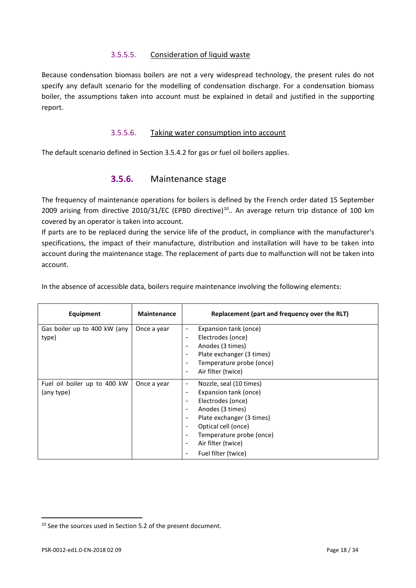#### 3.5.5.5. Consideration of liquid waste

Because condensation biomass boilers are not a very widespread technology, the present rules do not specify any default scenario for the modelling of condensation discharge. For a condensation biomass boiler, the assumptions taken into account must be explained in detail and justified in the supporting report.

#### 3.5.5.6. Taking water consumption into account

The default scenario defined in Section 3.5.4.2 for gas or fuel oil boilers applies.

#### **3.5.6.** Maintenance stage

The frequency of maintenance operations for boilers is defined by the French order dated 15 September 2009 arising from directive 20[10](#page-17-0)/31/EC (EPBD directive)<sup>10</sup>.. An average return trip distance of 100 km covered by an operator is taken into account.

If parts are to be replaced during the service life of the product, in compliance with the manufacturer's specifications, the impact of their manufacture, distribution and installation will have to be taken into account during the maintenance stage. The replacement of parts due to malfunction will not be taken into account.

| Equipment                                  | <b>Maintenance</b> | Replacement (part and frequency over the RLT)                                                                                                                                                                                                                                  |
|--------------------------------------------|--------------------|--------------------------------------------------------------------------------------------------------------------------------------------------------------------------------------------------------------------------------------------------------------------------------|
| Gas boiler up to 400 kW (any<br>type)      | Once a year        | Expansion tank (once)<br>Electrodes (once)<br>٠<br>Anodes (3 times)<br>$\overline{\phantom{a}}$<br>Plate exchanger (3 times)<br>Temperature probe (once)<br>Air filter (twice)<br>$\overline{\phantom{a}}$                                                                     |
| Fuel oil boiler up to 400 kW<br>(any type) | Once a year        | Nozzle, seal (10 times)<br>$\overline{\phantom{a}}$<br>Expansion tank (once)<br>Electrodes (once)<br>$\overline{\phantom{a}}$<br>Anodes (3 times)<br>Plate exchanger (3 times)<br>Optical cell (once)<br>Temperature probe (once)<br>Air filter (twice)<br>Fuel filter (twice) |

In the absence of accessible data, boilers require maintenance involving the following elements:

<span id="page-17-0"></span><sup>&</sup>lt;sup>10</sup> See the sources used in Section 5.2 of the present document.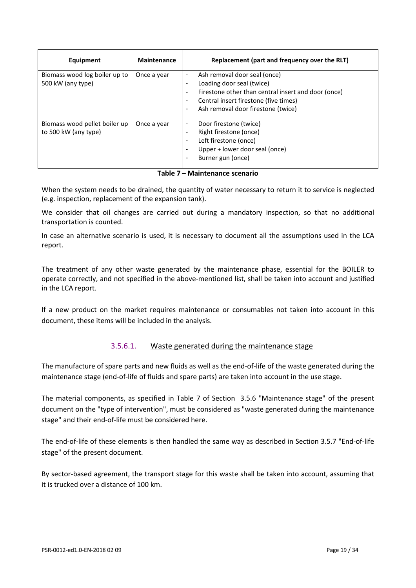| Equipment                                             | <b>Maintenance</b> | Replacement (part and frequency over the RLT)                                                                                                                                                                                              |
|-------------------------------------------------------|--------------------|--------------------------------------------------------------------------------------------------------------------------------------------------------------------------------------------------------------------------------------------|
| Biomass wood log boiler up to<br>500 kW (any type)    | Once a year        | Ash removal door seal (once)<br>٠<br>Loading door seal (twice)<br>۰<br>Firestone other than central insert and door (once)<br>٠<br>Central insert firestone (five times)<br>$\overline{\phantom{a}}$<br>Ash removal door firestone (twice) |
| Biomass wood pellet boiler up<br>to 500 kW (any type) | Once a year        | Door firestone (twice)<br>٠<br>Right firestone (once)<br>Left firestone (once)<br>$\blacksquare$<br>Upper + lower door seal (once)<br>Burner gun (once)                                                                                    |

#### **Table 7 – Maintenance scenario**

When the system needs to be drained, the quantity of water necessary to return it to service is neglected (e.g. inspection, replacement of the expansion tank).

We consider that oil changes are carried out during a mandatory inspection, so that no additional transportation is counted.

In case an alternative scenario is used, it is necessary to document all the assumptions used in the LCA report.

The treatment of any other waste generated by the maintenance phase, essential for the BOILER to operate correctly, and not specified in the above-mentioned list, shall be taken into account and justified in the LCA report.

If a new product on the market requires maintenance or consumables not taken into account in this document, these items will be included in the analysis.

#### 3.5.6.1. Waste generated during the maintenance stage

The manufacture of spare parts and new fluids as well as the end-of-life of the waste generated during the maintenance stage (end-of-life of fluids and spare parts) are taken into account in the use stage.

The material components, as specified in Table 7 of Section 3.5.6 "Maintenance stage" of the present document on the "type of intervention", must be considered as "waste generated during the maintenance stage" and their end-of-life must be considered here.

The end-of-life of these elements is then handled the same way as described in Section 3.5.7 "End-of-life stage" of the present document.

By sector-based agreement, the transport stage for this waste shall be taken into account, assuming that it is trucked over a distance of 100 km.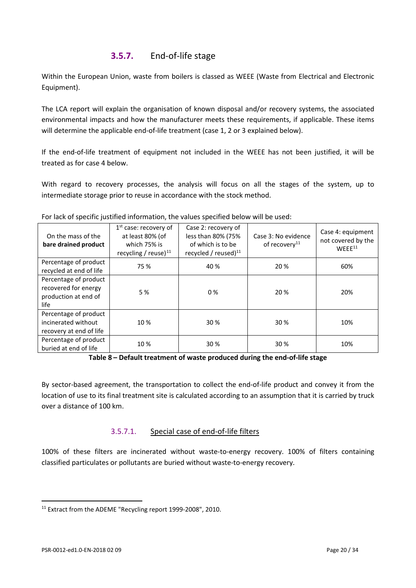### **3.5.7.** End-of-life stage

Within the European Union, waste from boilers is classed as WEEE (Waste from Electrical and Electronic Equipment).

The LCA report will explain the organisation of known disposal and/or recovery systems, the associated environmental impacts and how the manufacturer meets these requirements, if applicable. These items will determine the applicable end-of-life treatment (case 1, 2 or 3 explained below).

If the end-of-life treatment of equipment not included in the WEEE has not been justified, it will be treated as for case 4 below.

With regard to recovery processes, the analysis will focus on all the stages of the system, up to intermediate storage prior to reuse in accordance with the stock method.

| On the mass of the<br>bare drained product                                    | $1st$ case: recovery of<br>at least 80% (of<br>which 75% is<br>recycling / reuse) $^{11}$ | Case 2: recovery of<br>less than 80% (75%<br>of which is to be<br>recycled / reused) $^{11}$ | Case 3: No evidence<br>of recovery <sup>11</sup> | Case 4: equipment<br>not covered by the<br>WFFF <sup>11</sup> |
|-------------------------------------------------------------------------------|-------------------------------------------------------------------------------------------|----------------------------------------------------------------------------------------------|--------------------------------------------------|---------------------------------------------------------------|
| Percentage of product<br>recycled at end of life                              | 75 %                                                                                      | 40 %                                                                                         | 20 %                                             | 60%                                                           |
| Percentage of product<br>recovered for energy<br>production at end of<br>life | 5 %                                                                                       | $0\%$                                                                                        | 20 %                                             | 20%                                                           |
| Percentage of product<br>incinerated without<br>recovery at end of life       | 10%                                                                                       | 30 %                                                                                         | 30 %                                             | 10%                                                           |
| Percentage of product<br>buried at end of life                                | 10%                                                                                       | 30 %                                                                                         | 30 %                                             | 10%                                                           |

For lack of specific justified information, the values specified below will be used:

By sector-based agreement, the transportation to collect the end-of-life product and convey it from the location of use to its final treatment site is calculated according to an assumption that it is carried by truck over a distance of 100 km.

#### 3.5.7.1. Special case of end-of-life filters

100% of these filters are incinerated without waste-to-energy recovery. 100% of filters containing classified particulates or pollutants are buried without waste-to-energy recovery.

**Table 8 – Default treatment of waste produced during the end-of-life stage**

<span id="page-19-0"></span><sup>&</sup>lt;sup>11</sup> Extract from the ADEME "Recycling report 1999-2008", 2010.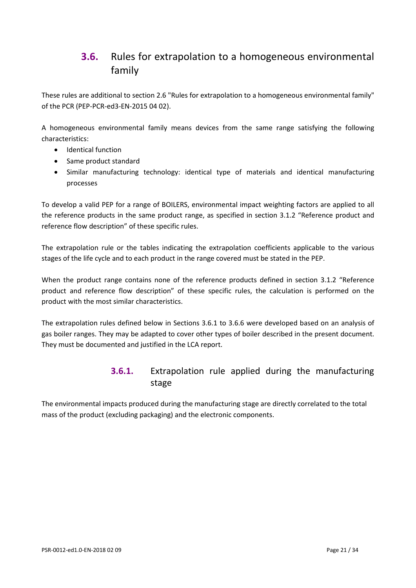# <span id="page-20-0"></span>**3.6.** Rules for extrapolation to a homogeneous environmental family

These rules are additional to section 2.6 "Rules for extrapolation to a homogeneous environmental family" of the PCR (PEP-PCR-ed3-EN-2015 04 02).

A homogeneous environmental family means devices from the same range satisfying the following characteristics:

- Identical function
- Same product standard
- Similar manufacturing technology: identical type of materials and identical manufacturing processes

To develop a valid PEP for a range of BOILERS, environmental impact weighting factors are applied to all the reference products in the same product range, as specified in section 3.1.2 "Reference product and reference flow description" of these specific rules.

The extrapolation rule or the tables indicating the extrapolation coefficients applicable to the various stages of the life cycle and to each product in the range covered must be stated in the PEP.

When the product range contains none of the reference products defined in section 3.1.2 "Reference product and reference flow description" of these specific rules, the calculation is performed on the product with the most similar characteristics.

The extrapolation rules defined below in Sections 3.6.1 to 3.6.6 were developed based on an analysis of gas boiler ranges. They may be adapted to cover other types of boiler described in the present document. They must be documented and justified in the LCA report.

### **3.6.1.** Extrapolation rule applied during the manufacturing stage

The environmental impacts produced during the manufacturing stage are directly correlated to the total mass of the product (excluding packaging) and the electronic components.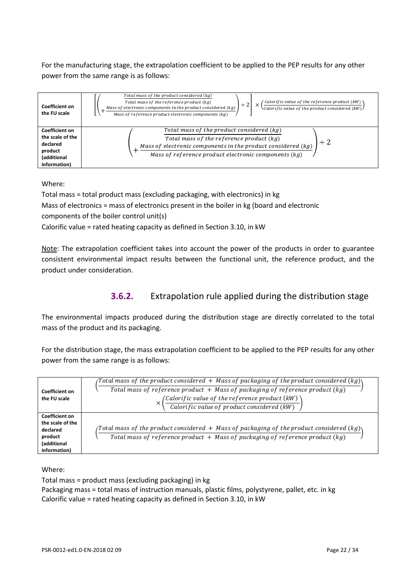For the manufacturing stage, the extrapolation coefficient to be applied to the PEP results for any other power from the same range is as follows:



Where:

Total mass = total product mass (excluding packaging, with electronics) in kg Mass of electronics = mass of electronics present in the boiler in kg (board and electronic components of the boiler control unit(s) Calorific value = rated heating capacity as defined in Section 3.10, in kW

Note: The extrapolation coefficient takes into account the power of the products in order to guarantee consistent environmental impact results between the functional unit, the reference product, and the product under consideration.

# **3.6.2.** Extrapolation rule applied during the distribution stage

The environmental impacts produced during the distribution stage are directly correlated to the total mass of the product and its packaging.

For the distribution stage, the mass extrapolation coefficient to be applied to the PEP results for any other power from the same range is as follows:

| Coefficient on<br>the FU scale | Total mass of the product considered $+$ Mass of packaging of the product considered (kg) $\setminus$                        |
|--------------------------------|------------------------------------------------------------------------------------------------------------------------------|
|                                | Total mass of reference product $+$ Mass of packaging of reference product (kg)                                              |
|                                |                                                                                                                              |
|                                | $\left(\frac{\text{Calorific value of the reference product (kW)}{\text{Calorific value of product considered (kW)}}\right)$ |
| <b>Coefficient on</b>          |                                                                                                                              |
| the scale of the               |                                                                                                                              |
| declared                       | /Total mass of the product considered $+$ Mass of packaging of the product considered (kg)\                                  |
| product                        | Total mass of reference product $+$ Mass of packaging of reference product (kg)                                              |
| (additional                    |                                                                                                                              |
| information)                   |                                                                                                                              |

Where:

Total mass = product mass (excluding packaging) in kg Packaging mass = total mass of instruction manuals, plastic films, polystyrene, pallet, etc. in kg Calorific value = rated heating capacity as defined in Section 3.10, in kW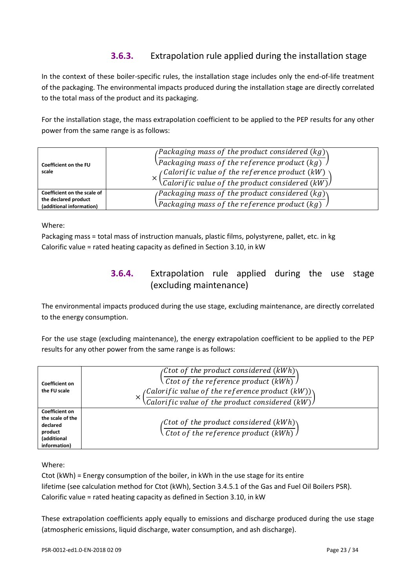## **3.6.3.** Extrapolation rule applied during the installation stage

In the context of these boiler-specific rules, the installation stage includes only the end-of-life treatment of the packaging. The environmental impacts produced during the installation stage are directly correlated to the total mass of the product and its packaging.

For the installation stage, the mass extrapolation coefficient to be applied to the PEP results for any other power from the same range is as follows:

| Coefficient on the FU                            | <i>(Packaging mass of the product considered <math>(kg)</math>)</i>              |  |
|--------------------------------------------------|----------------------------------------------------------------------------------|--|
|                                                  | $\Omega$ Packaging mass of the reference product (kg)                            |  |
| scale                                            | <sub>(</sub> Calorific value of the reference product (kW) $\cdot$               |  |
|                                                  | <i><u><b>Calorific value of the product considered <math>(kW)</math></b></u></i> |  |
| Coefficient on the scale of                      | <i>(Packaging mass of the product considered <math>(kg)</math>)</i>              |  |
| the declared product<br>(additional information) | $\Omega$ Packaging mass of the reference product (kg)                            |  |

Where:

Packaging mass = total mass of instruction manuals, plastic films, polystyrene, pallet, etc. in kg Calorific value = rated heating capacity as defined in Section 3.10, in kW

## **3.6.4.** Extrapolation rule applied during the use stage (excluding maintenance)

The environmental impacts produced during the use stage, excluding maintenance, are directly correlated to the energy consumption.

For the use stage (excluding maintenance), the energy extrapolation coefficient to be applied to the PEP results for any other power from the same range is as follows:

| Coefficient on<br>the FU scale                                                           | (Ctot of the product considered $(kWh)\backslash$<br>Ctot of the reference product $(kWh)$<br>$\left(\frac{Calorific \ value \ of \ the \ reference \ product \ (kW))}{Calorific \ value \ of \ the \ product \ considered \ (kW)}\right)$ |  |  |
|------------------------------------------------------------------------------------------|--------------------------------------------------------------------------------------------------------------------------------------------------------------------------------------------------------------------------------------------|--|--|
| Coefficient on<br>the scale of the<br>declared<br>product<br>(additional<br>information) | <sub>(</sub> Ctot of the product considered (kWh) $\backslash$<br>$\backslash$ Ctot of the reference product (kWh) $\backslash$                                                                                                            |  |  |

#### Where:

Ctot (kWh) = Energy consumption of the boiler, in kWh in the use stage for its entire lifetime (see calculation method for Ctot (kWh), Section 3.4.5.1 of the Gas and Fuel Oil Boilers PSR). Calorific value = rated heating capacity as defined in Section 3.10, in kW

These extrapolation coefficients apply equally to emissions and discharge produced during the use stage (atmospheric emissions, liquid discharge, water consumption, and ash discharge).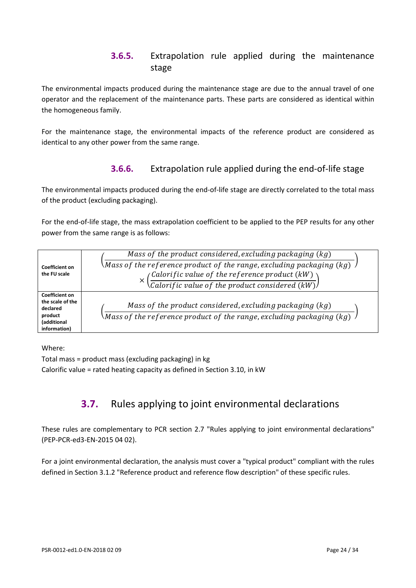### **3.6.5.** Extrapolation rule applied during the maintenance stage

The environmental impacts produced during the maintenance stage are due to the annual travel of one operator and the replacement of the maintenance parts. These parts are considered as identical within the homogeneous family.

For the maintenance stage, the environmental impacts of the reference product are considered as identical to any other power from the same range.

### **3.6.6.** Extrapolation rule applied during the end-of-life stage

The environmental impacts produced during the end-of-life stage are directly correlated to the total mass of the product (excluding packaging).

For the end-of-life stage, the mass extrapolation coefficient to be applied to the PEP results for any other power from the same range is as follows:

|                                                                                                 | Mass of the product considered, excluding packaging $(kg)$                                                                                   |
|-------------------------------------------------------------------------------------------------|----------------------------------------------------------------------------------------------------------------------------------------------|
| <b>Coefficient on</b><br>the FU scale                                                           | \Mass of the reference product of the range, excluding packaging (kg) $\,$ $\,$                                                              |
|                                                                                                 | $\left(\frac{Calorific \ value \ of \ the \ reference \ product \ (kW)}{Calorific \ value \ of \ the \ product \ considered \ (kW)}\right)$  |
| <b>Coefficient on</b><br>the scale of the<br>declared<br>product<br>(additional<br>information) | Mass of the product considered, excluding packaging $(kg)$<br>Mass of the reference product of the range, excluding packaging (kg) $\,$ $\,$ |

Where:

<span id="page-23-0"></span>Total mass = product mass (excluding packaging) in kg Calorific value = rated heating capacity as defined in Section 3.10, in kW

# **3.7.** Rules applying to joint environmental declarations

These rules are complementary to PCR section 2.7 "Rules applying to joint environmental declarations" (PEP-PCR-ed3-EN-2015 04 02).

For a joint environmental declaration, the analysis must cover a "typical product" compliant with the rules defined in Section 3.1.2 "Reference product and reference flow description" of these specific rules.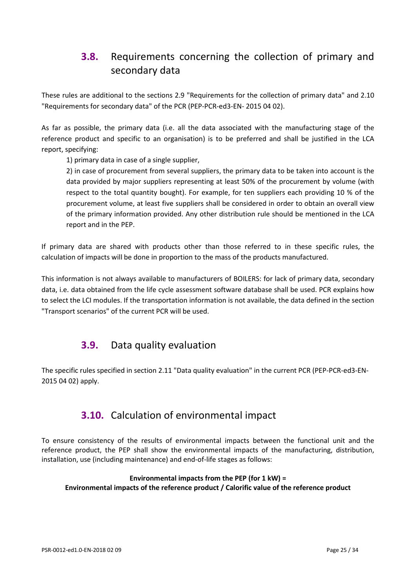# <span id="page-24-0"></span>**3.8.** Requirements concerning the collection of primary and secondary data

These rules are additional to the sections 2.9 "Requirements for the collection of primary data" and 2.10 "Requirements for secondary data" of the PCR (PEP-PCR-ed3-EN- 2015 04 02).

As far as possible, the primary data (i.e. all the data associated with the manufacturing stage of the reference product and specific to an organisation) is to be preferred and shall be justified in the LCA report, specifying:

1) primary data in case of a single supplier,

2) in case of procurement from several suppliers, the primary data to be taken into account is the data provided by major suppliers representing at least 50% of the procurement by volume (with respect to the total quantity bought). For example, for ten suppliers each providing 10 % of the procurement volume, at least five suppliers shall be considered in order to obtain an overall view of the primary information provided. Any other distribution rule should be mentioned in the LCA report and in the PEP.

If primary data are shared with products other than those referred to in these specific rules, the calculation of impacts will be done in proportion to the mass of the products manufactured.

<span id="page-24-1"></span>This information is not always available to manufacturers of BOILERS: for lack of primary data, secondary data, i.e. data obtained from the life cycle assessment software database shall be used. PCR explains how to select the LCI modules. If the transportation information is not available, the data defined in the section "Transport scenarios" of the current PCR will be used.

# **3.9.** Data quality evaluation

<span id="page-24-2"></span>The specific rules specified in section 2.11 "Data quality evaluation" in the current PCR (PEP-PCR-ed3-EN-2015 04 02) apply.

# **3.10.** Calculation of environmental impact

To ensure consistency of the results of environmental impacts between the functional unit and the reference product, the PEP shall show the environmental impacts of the manufacturing, distribution, installation, use (including maintenance) and end-of-life stages as follows:

#### **Environmental impacts from the PEP (for 1 kW) = Environmental impacts of the reference product / Calorific value of the reference product**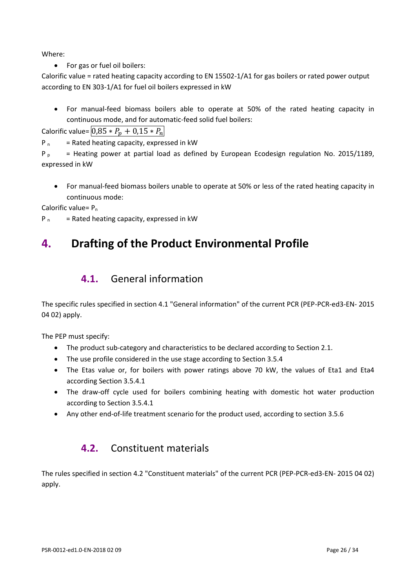Where:

• For gas or fuel oil boilers:

Calorific value = rated heating capacity according to EN 15502-1/A1 for gas boilers or rated power output according to EN 303-1/A1 for fuel oil boilers expressed in kW

• For manual-feed biomass boilers able to operate at 50% of the rated heating capacity in continuous mode, and for automatic-feed solid fuel boilers:

Calorific value=  $0.85 * P_n + 0.15 * P_n$ 

 $P_n$  = Rated heating capacity, expressed in kW

P<sub>p</sub> = Heating power at partial load as defined by European Ecodesign regulation No. 2015/1189, expressed in kW

• For manual-feed biomass boilers unable to operate at 50% or less of the rated heating capacity in continuous mode:

Calorific value=  $P_n$ 

 $P_n$  = Rated heating capacity, expressed in kW

# <span id="page-25-1"></span><span id="page-25-0"></span>**4. Drafting of the Product Environmental Profile**

# **4.1.** General information

The specific rules specified in section 4.1 "General information" of the current PCR (PEP-PCR-ed3-EN- 2015 04 02) apply.

The PEP must specify:

- The product sub-category and characteristics to be declared according to Section 2.1.
- The use profile considered in the use stage according to Section 3.5.4
- The Etas value or, for boilers with power ratings above 70 kW, the values of Eta1 and Eta4 according Section 3.5.4.1
- The draw-off cycle used for boilers combining heating with domestic hot water production according to Section 3.5.4.1
- <span id="page-25-2"></span>• Any other end-of-life treatment scenario for the product used, according to section 3.5.6

# **4.2.** Constituent materials

The rules specified in section 4.2 "Constituent materials" of the current PCR (PEP-PCR-ed3-EN- 2015 04 02) apply.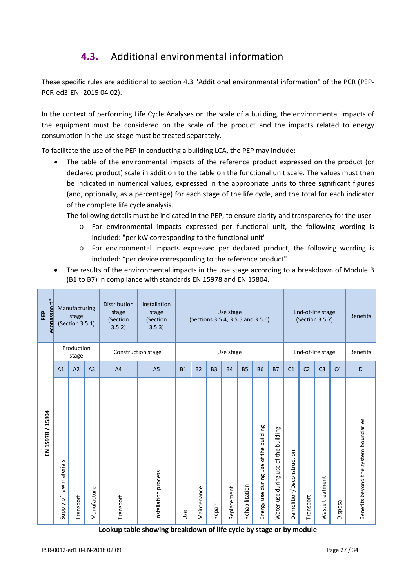# **4.3.** Additional environmental information

<span id="page-26-0"></span>These specific rules are additional to section 4.3 "Additional environmental information" of the PCR (PEP-PCR-ed3-EN- 2015 04 02).

In the context of performing Life Cycle Analyses on the scale of a building, the environmental impacts of the equipment must be considered on the scale of the product and the impacts related to energy consumption in the use stage must be treated separately.

To facilitate the use of the PEP in conducting a building LCA, the PEP may include:

• The table of the environmental impacts of the reference product expressed on the product (or declared product) scale in addition to the table on the functional unit scale. The values must then be indicated in numerical values, expressed in the appropriate units to three significant figures (and, optionally, as a percentage) for each stage of the life cycle, and the total for each indicator of the complete life cycle analysis.

The following details must be indicated in the PEP, to ensure clarity and transparency for the user:

- o For environmental impacts expressed per functional unit, the following wording is included: "per kW corresponding to the functional unit"
- o For environmental impacts expressed per declared product, the following wording is included: "per device corresponding to the reference product"
- The results of the environmental impacts in the use stage according to a breakdown of Module B (B1 to B7) in compliance with standards EN 15978 and EN 15804.

| aconassnort®<br>PEP |                         | Manufacturing<br>stage<br>(Section 3.5.1) |                | <b>Distribution</b><br>stage<br>(Section<br>3.5.2) | Installation<br>stage<br>(Section<br>3.5.3) |           | (Sections 3.5.4, 3.5.5 and 3.5.6) |           | Use stage   |                |                                             |                                            |                           |                | End-of-life stage<br>(Section 3.5.7) |                 | <b>Benefits</b>                       |
|---------------------|-------------------------|-------------------------------------------|----------------|----------------------------------------------------|---------------------------------------------|-----------|-----------------------------------|-----------|-------------|----------------|---------------------------------------------|--------------------------------------------|---------------------------|----------------|--------------------------------------|-----------------|---------------------------------------|
|                     |                         | Production<br>stage                       |                | Construction stage                                 |                                             |           |                                   |           | Use stage   |                |                                             |                                            | End-of-life stage         |                |                                      | <b>Benefits</b> |                                       |
|                     | A1                      | A <sub>2</sub>                            | A <sub>3</sub> | A <sub>4</sub>                                     | A <sub>5</sub>                              | <b>B1</b> | B <sub>2</sub>                    | <b>B3</b> | <b>B4</b>   | <b>B5</b>      | <b>B6</b>                                   | <b>B7</b>                                  | C <sub>1</sub>            | C <sub>2</sub> | C <sub>3</sub>                       | C <sub>4</sub>  | D                                     |
| 15804<br>EN 15978/  | Supply of raw materials | Transport                                 | Manufacture    | Transport                                          | Installation process                        | Use       | Maintenance                       | Repair    | Replacement | Rehabilitation | of the building<br>use<br>Energy use during | of the building<br>use<br>Water use during | Demolition/Deconstruction | Transport      | Waste treatment                      | Disposal        | Benefits beyond the system boundaries |

**Lookup table showing breakdown of life cycle by stage or by module**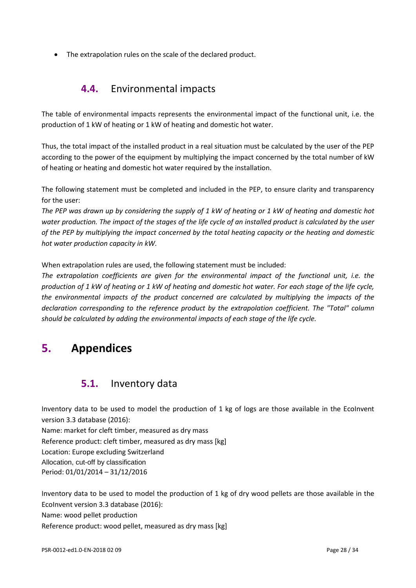<span id="page-27-0"></span>• The extrapolation rules on the scale of the declared product.

# **4.4.** Environmental impacts

The table of environmental impacts represents the environmental impact of the functional unit, i.e. the production of 1 kW of heating or 1 kW of heating and domestic hot water.

Thus, the total impact of the installed product in a real situation must be calculated by the user of the PEP according to the power of the equipment by multiplying the impact concerned by the total number of kW of heating or heating and domestic hot water required by the installation.

The following statement must be completed and included in the PEP, to ensure clarity and transparency for the user:

*The PEP was drawn up by considering the supply of 1 kW of heating or 1 kW of heating and domestic hot water production. The impact of the stages of the life cycle of an installed product is calculated by the user of the PEP by multiplying the impact concerned by the total heating capacity or the heating and domestic hot water production capacity in kW.*

When extrapolation rules are used, the following statement must be included:

*The extrapolation coefficients are given for the environmental impact of the functional unit, i.e. the production of 1 kW of heating or 1 kW of heating and domestic hot water. For each stage of the life cycle,*  the environmental impacts of the product concerned are calculated by multiplying the impacts of the *declaration corresponding to the reference product by the extrapolation coefficient. The "Total" column should be calculated by adding the environmental impacts of each stage of the life cycle.*

# <span id="page-27-2"></span><span id="page-27-1"></span>**5. Appendices**

### **5.1.** Inventory data

Inventory data to be used to model the production of 1 kg of logs are those available in the EcoInvent version 3.3 database (2016):

Name: market for cleft timber, measured as dry mass

Reference product: cleft timber, measured as dry mass [kg]

Location: Europe excluding Switzerland

Allocation, cut-off by classification

Period: 01/01/2014 – 31/12/2016

Inventory data to be used to model the production of 1 kg of dry wood pellets are those available in the EcoInvent version 3.3 database (2016): Name: wood pellet production Reference product: wood pellet, measured as dry mass [kg]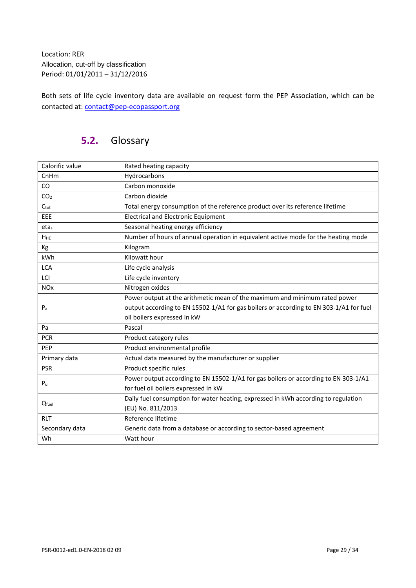Location: RER Allocation, cut-off by classification Period: 01/01/2011 – 31/12/2016

<span id="page-28-0"></span>Both sets of life cycle inventory data are available on request form the PEP Association, which can be contacted at: [contact@pep-ecopassport.org](mailto:contact@pep-ecopassport.org)

# **5.2.** Glossary

| Calorific value       | Rated heating capacity                                                                 |  |  |  |
|-----------------------|----------------------------------------------------------------------------------------|--|--|--|
| CnHm                  | Hydrocarbons                                                                           |  |  |  |
| CO                    | Carbon monoxide                                                                        |  |  |  |
| CO <sub>2</sub>       | Carbon dioxide                                                                         |  |  |  |
| $C_{\text{tot}}$      | Total energy consumption of the reference product over its reference lifetime          |  |  |  |
| EEE                   | <b>Electrical and Electronic Equipment</b>                                             |  |  |  |
| $eta_s$               | Seasonal heating energy efficiency                                                     |  |  |  |
| <b>HHE</b>            | Number of hours of annual operation in equivalent active mode for the heating mode     |  |  |  |
| Kg                    | Kilogram                                                                               |  |  |  |
| kWh                   | Kilowatt hour                                                                          |  |  |  |
| <b>LCA</b>            | Life cycle analysis                                                                    |  |  |  |
| LCI                   | Life cycle inventory                                                                   |  |  |  |
| <b>NO<sub>x</sub></b> | Nitrogen oxides                                                                        |  |  |  |
|                       | Power output at the arithmetic mean of the maximum and minimum rated power             |  |  |  |
| P <sub>a</sub>        | output according to EN 15502-1/A1 for gas boilers or according to EN 303-1/A1 for fuel |  |  |  |
|                       | oil boilers expressed in kW                                                            |  |  |  |
| Pa                    | Pascal                                                                                 |  |  |  |
| <b>PCR</b>            | Product category rules                                                                 |  |  |  |
| PEP                   | Product environmental profile                                                          |  |  |  |
| Primary data          | Actual data measured by the manufacturer or supplier                                   |  |  |  |
| <b>PSR</b>            | Product specific rules                                                                 |  |  |  |
| P <sub>u</sub>        | Power output according to EN 15502-1/A1 for gas boilers or according to EN 303-1/A1    |  |  |  |
|                       | for fuel oil boilers expressed in kW                                                   |  |  |  |
| Qfuel                 | Daily fuel consumption for water heating, expressed in kWh according to regulation     |  |  |  |
|                       | (EU) No. 811/2013                                                                      |  |  |  |
| <b>RLT</b>            | Reference lifetime                                                                     |  |  |  |
| Secondary data        | Generic data from a database or according to sector-based agreement                    |  |  |  |
| Wh                    | Watt hour                                                                              |  |  |  |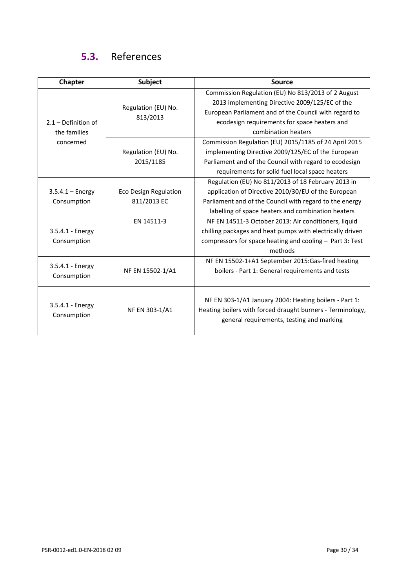# **5.3.** References

<span id="page-29-0"></span>

| <b>Chapter</b>        | Subject                      | <b>Source</b>                                              |
|-----------------------|------------------------------|------------------------------------------------------------|
|                       |                              | Commission Regulation (EU) No 813/2013 of 2 August         |
|                       | Regulation (EU) No.          | 2013 implementing Directive 2009/125/EC of the             |
|                       | 813/2013                     | European Parliament and of the Council with regard to      |
| $2.1 - Definition of$ |                              | ecodesign requirements for space heaters and               |
| the families          |                              | combination heaters                                        |
| concerned             |                              | Commission Regulation (EU) 2015/1185 of 24 April 2015      |
|                       | Regulation (EU) No.          | implementing Directive 2009/125/EC of the European         |
|                       | 2015/1185                    | Parliament and of the Council with regard to ecodesign     |
|                       |                              | requirements for solid fuel local space heaters            |
|                       |                              | Regulation (EU) No 811/2013 of 18 February 2013 in         |
| $3.5.4.1 - Energy$    | <b>Eco Design Regulation</b> | application of Directive 2010/30/EU of the European        |
| Consumption           | 811/2013 EC                  | Parliament and of the Council with regard to the energy    |
|                       |                              | labelling of space heaters and combination heaters         |
|                       | EN 14511-3                   | NF EN 14511-3 October 2013: Air conditioners, liquid       |
| 3.5.4.1 - Energy      |                              | chilling packages and heat pumps with electrically driven  |
| Consumption           |                              | compressors for space heating and cooling - Part 3: Test   |
|                       |                              | methods                                                    |
| 3.5.4.1 - Energy      |                              | NF EN 15502-1+A1 September 2015:Gas-fired heating          |
| Consumption           | NF EN 15502-1/A1             | boilers - Part 1: General requirements and tests           |
|                       |                              |                                                            |
|                       |                              |                                                            |
| 3.5.4.1 - Energy      |                              | NF EN 303-1/A1 January 2004: Heating boilers - Part 1:     |
| Consumption           | NF EN 303-1/A1               | Heating boilers with forced draught burners - Terminology, |
|                       |                              | general requirements, testing and marking                  |
|                       |                              |                                                            |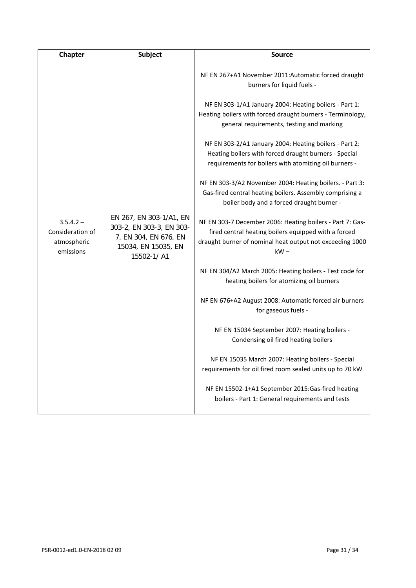| Chapter                                                     | <b>Subject</b>                                                                                                    | <b>Source</b>                                                                                                                                                                           |
|-------------------------------------------------------------|-------------------------------------------------------------------------------------------------------------------|-----------------------------------------------------------------------------------------------------------------------------------------------------------------------------------------|
|                                                             |                                                                                                                   | NF EN 267+A1 November 2011:Automatic forced draught<br>burners for liquid fuels -                                                                                                       |
|                                                             |                                                                                                                   | NF EN 303-1/A1 January 2004: Heating boilers - Part 1:<br>Heating boilers with forced draught burners - Terminology,<br>general requirements, testing and marking                       |
|                                                             |                                                                                                                   | NF EN 303-2/A1 January 2004: Heating boilers - Part 2:<br>Heating boilers with forced draught burners - Special<br>requirements for boilers with atomizing oil burners -                |
|                                                             |                                                                                                                   | NF EN 303-3/A2 November 2004: Heating boilers. - Part 3:<br>Gas-fired central heating boilers. Assembly comprising a<br>boiler body and a forced draught burner -                       |
| $3.5.4.2 -$<br>Consideration of<br>atmospheric<br>emissions | EN 267, EN 303-1/A1, EN<br>303-2, EN 303-3, EN 303-<br>7, EN 304, EN 676, EN<br>15034, EN 15035, EN<br>15502-1/A1 | NF EN 303-7 December 2006: Heating boilers - Part 7: Gas-<br>fired central heating boilers equipped with a forced<br>draught burner of nominal heat output not exceeding 1000<br>$kW -$ |
|                                                             |                                                                                                                   | NF EN 304/A2 March 2005: Heating boilers - Test code for<br>heating boilers for atomizing oil burners                                                                                   |
|                                                             |                                                                                                                   | NF EN 676+A2 August 2008: Automatic forced air burners<br>for gaseous fuels -                                                                                                           |
|                                                             |                                                                                                                   | NF EN 15034 September 2007: Heating boilers -<br>Condensing oil fired heating boilers                                                                                                   |
|                                                             |                                                                                                                   | NF EN 15035 March 2007: Heating boilers - Special<br>requirements for oil fired room sealed units up to 70 kW                                                                           |
|                                                             |                                                                                                                   | NF EN 15502-1+A1 September 2015:Gas-fired heating<br>boilers - Part 1: General requirements and tests                                                                                   |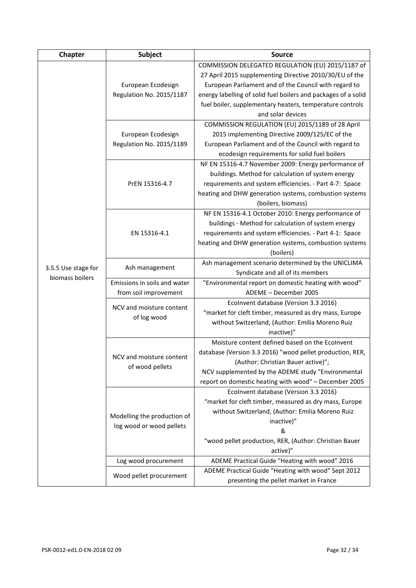| Chapter             | <b>Subject</b>               | <b>Source</b>                                                                                   |  |  |  |  |  |
|---------------------|------------------------------|-------------------------------------------------------------------------------------------------|--|--|--|--|--|
|                     |                              | COMMISSION DELEGATED REGULATION (EU) 2015/1187 of                                               |  |  |  |  |  |
|                     | European Ecodesign           | 27 April 2015 supplementing Directive 2010/30/EU of the                                         |  |  |  |  |  |
|                     |                              | European Parliament and of the Council with regard to                                           |  |  |  |  |  |
|                     | Regulation No. 2015/1187     | energy labelling of solid fuel boilers and packages of a solid                                  |  |  |  |  |  |
|                     |                              | fuel boiler, supplementary heaters, temperature controls                                        |  |  |  |  |  |
|                     |                              | and solar devices                                                                               |  |  |  |  |  |
|                     |                              | COMMISSION REGULATION (EU) 2015/1189 of 28 April                                                |  |  |  |  |  |
|                     | European Ecodesign           | 2015 implementing Directive 2009/125/EC of the                                                  |  |  |  |  |  |
|                     | Regulation No. 2015/1189     | European Parliament and of the Council with regard to                                           |  |  |  |  |  |
|                     |                              | ecodesign requirements for solid fuel boilers                                                   |  |  |  |  |  |
|                     |                              | NF EN 15316-4.7 November 2009: Energy performance of                                            |  |  |  |  |  |
|                     |                              | buildings. Method for calculation of system energy                                              |  |  |  |  |  |
|                     | PrEN 15316-4.7               | requirements and system efficiencies. - Part 4-7: Space                                         |  |  |  |  |  |
|                     |                              | heating and DHW generation systems, combustion systems                                          |  |  |  |  |  |
|                     |                              | (boilers, biomass)                                                                              |  |  |  |  |  |
|                     |                              | NF EN 15316-4.1 October 2010: Energy performance of                                             |  |  |  |  |  |
|                     |                              | buildings - Method for calculation of system energy                                             |  |  |  |  |  |
|                     | EN 15316-4.1                 | requirements and system efficiencies. - Part 4-1: Space                                         |  |  |  |  |  |
|                     |                              | heating and DHW generation systems, combustion systems                                          |  |  |  |  |  |
|                     |                              | (boilers)                                                                                       |  |  |  |  |  |
| 3.5.5 Use stage for | Ash management               | Ash management scenario determined by the UNICLIMA                                              |  |  |  |  |  |
| biomass boilers     |                              | Syndicate and all of its members                                                                |  |  |  |  |  |
|                     | Emissions in soils and water | "Environmental report on domestic heating with wood"                                            |  |  |  |  |  |
|                     | from soil improvement        | ADEME - December 2005                                                                           |  |  |  |  |  |
|                     | NCV and moisture content     | Ecolnvent database (Version 3.3 2016)                                                           |  |  |  |  |  |
|                     | of log wood                  | "market for cleft timber, measured as dry mass, Europe                                          |  |  |  |  |  |
|                     |                              | without Switzerland, (Author: Emilia Moreno Ruiz                                                |  |  |  |  |  |
|                     |                              | inactive)"                                                                                      |  |  |  |  |  |
|                     |                              | Moisture content defined based on the Ecolnvent                                                 |  |  |  |  |  |
|                     | NCV and moisture content     | database (Version 3.3 2016) "wood pellet production, RER,                                       |  |  |  |  |  |
|                     | of wood pellets              | (Author: Christian Bauer active)";                                                              |  |  |  |  |  |
|                     |                              | NCV supplemented by the ADEME study "Environmental                                              |  |  |  |  |  |
|                     |                              | report on domestic heating with wood" - December 2005                                           |  |  |  |  |  |
|                     |                              | Ecolnvent database (Version 3.3 2016)<br>"market for cleft timber, measured as dry mass, Europe |  |  |  |  |  |
|                     |                              | without Switzerland, (Author: Emilia Moreno Ruiz                                                |  |  |  |  |  |
|                     | Modelling the production of  |                                                                                                 |  |  |  |  |  |
|                     | log wood or wood pellets     | inactive)"<br>&                                                                                 |  |  |  |  |  |
|                     |                              | "wood pellet production, RER, (Author: Christian Bauer                                          |  |  |  |  |  |
|                     |                              | active)"                                                                                        |  |  |  |  |  |
|                     | Log wood procurement         | ADEME Practical Guide "Heating with wood" 2016                                                  |  |  |  |  |  |
|                     |                              | ADEME Practical Guide "Heating with wood" Sept 2012                                             |  |  |  |  |  |
|                     | Wood pellet procurement      |                                                                                                 |  |  |  |  |  |
|                     |                              | presenting the pellet market in France                                                          |  |  |  |  |  |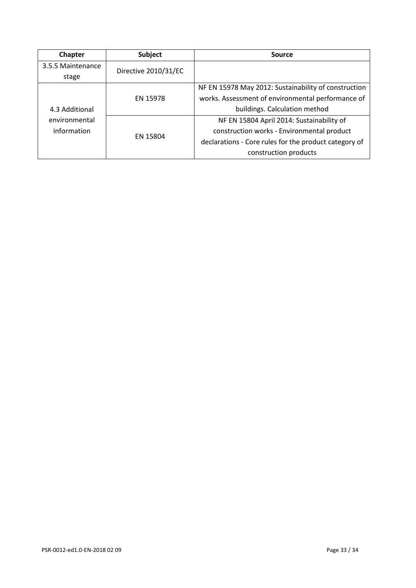| Chapter                                        | <b>Subject</b>       | Source                                                |
|------------------------------------------------|----------------------|-------------------------------------------------------|
| 3.5.5 Maintenance                              | Directive 2010/31/EC |                                                       |
| stage                                          |                      |                                                       |
| 4.3 Additional<br>environmental<br>information |                      | NF EN 15978 May 2012: Sustainability of construction  |
|                                                | EN 15978             | works. Assessment of environmental performance of     |
|                                                |                      | buildings. Calculation method                         |
|                                                |                      | NF EN 15804 April 2014: Sustainability of             |
|                                                | EN 15804             | construction works - Environmental product            |
|                                                |                      | declarations - Core rules for the product category of |
|                                                |                      | construction products                                 |